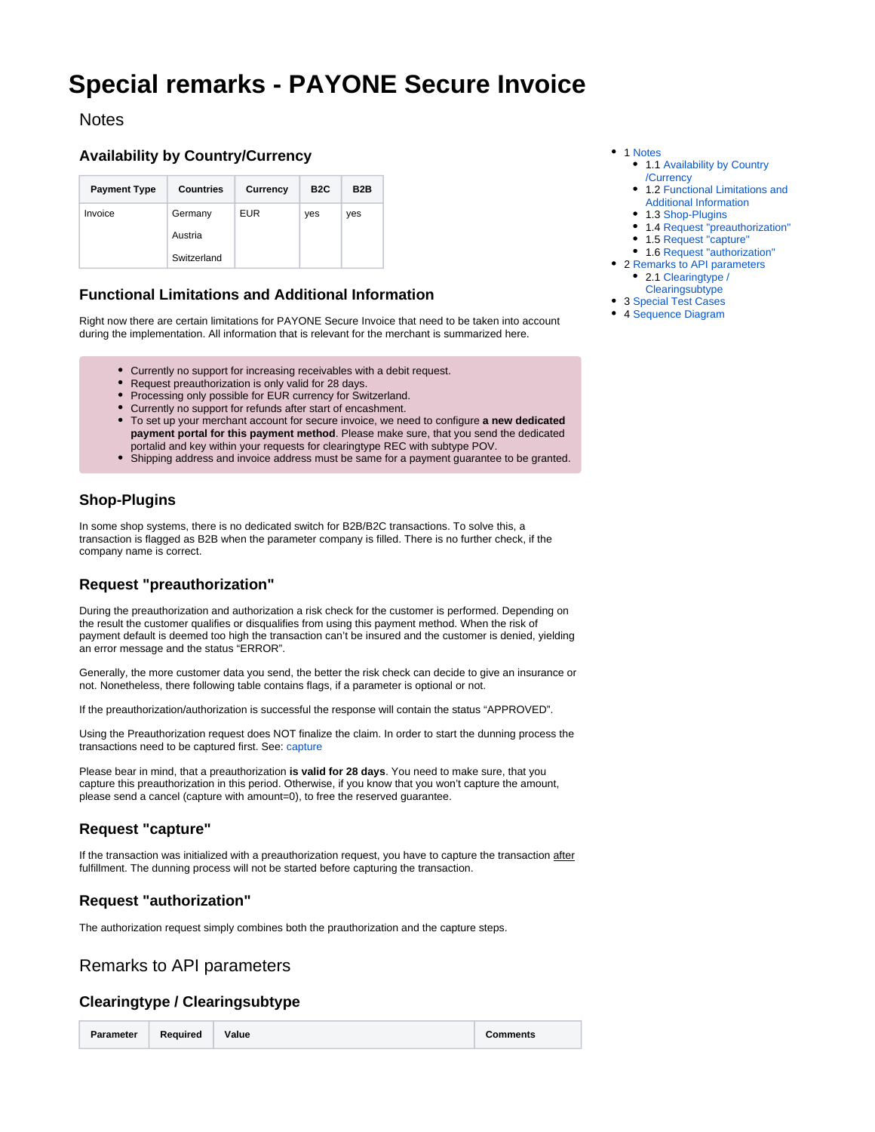# <span id="page-0-9"></span>**Special remarks - PAYONE Secure Invoice**

### <span id="page-0-0"></span>**Notes**

### <span id="page-0-1"></span>**Availability by Country/Currency**

| <b>Payment Type</b> | <b>Countries</b> | Currency | B <sub>2</sub> C | B <sub>2</sub> B |
|---------------------|------------------|----------|------------------|------------------|
| Invoice             | Germany          | EUR      | yes              | yes              |
|                     | Austria          |          |                  |                  |
|                     | Switzerland      |          |                  |                  |

#### <span id="page-0-2"></span>**Functional Limitations and Additional Information**

Right now there are certain limitations for PAYONE Secure Invoice that need to be taken into account during the implementation. All information that is relevant for the merchant is summarized here.

- Currently no support for increasing receivables with a debit request.
- Request preauthorization is only valid for 28 days.
- Processing only possible for EUR currency for Switzerland.
- Currently no support for refunds after start of encashment.
- To set up your merchant account for secure invoice, we need to configure **a new dedicated payment portal for this payment method**. Please make sure, that you send the dedicated portalid and key within your requests for clearingtype REC with subtype POV.
- Shipping address and invoice address must be same for a payment guarantee to be granted.

### <span id="page-0-3"></span>**Shop-Plugins**

In some shop systems, there is no dedicated switch for B2B/B2C transactions. To solve this, a transaction is flagged as B2B when the parameter company is filled. There is no further check, if the company name is correct.

#### <span id="page-0-4"></span>**Request "preauthorization"**

During the preauthorization and authorization a risk check for the customer is performed. Depending on the result the customer qualifies or disqualifies from using this payment method. When the risk of payment default is deemed too high the transaction can't be insured and the customer is denied, yielding an error message and the status "ERROR".

Generally, the more customer data you send, the better the risk check can decide to give an insurance or not. Nonetheless, there following table contains flags, if a parameter is optional or not.

If the preauthorization/authorization is successful the response will contain the status "APPROVED".

Using the Preauthorization request does NOT finalize the claim. In order to start the dunning process the transactions need to be captured first. See: [capture](https://docs.payone.com/pages/viewpage.action?pageId=1213937)

Please bear in mind, that a preauthorization **is valid for 28 days**. You need to make sure, that you capture this preauthorization in this period. Otherwise, if you know that you won't capture the amount, please send a cancel (capture with amount=0), to free the reserved guarantee.

# <span id="page-0-5"></span>**Request "capture"**

If the transaction was initialized with a preauthorization request, you have to capture the transaction after fulfillment. The dunning process will not be started before capturing the transaction.

# <span id="page-0-6"></span>**Request "authorization"**

The authorization request simply combines both the prauthorization and the capture steps.

# <span id="page-0-7"></span>Remarks to API parameters

#### <span id="page-0-8"></span>**Clearingtype / Clearingsubtype**

**Parameter Required Value Comments**

- 1 [Notes](#page-0-0)
	- 1.1 [Availability by Country](#page-0-1) [/Currency](#page-0-1)
	- 1.2 [Functional Limitations and](#page-0-2)  [Additional Information](#page-0-2)
	- 1.3 [Shop-Plugins](#page-0-3)
	- 1.4 [Request "preauthorization"](#page-0-4)
	- 1.5 [Request "capture"](#page-0-5)
	- 1.6 [Request "authorization"](#page-0-6)
- 2 [Remarks to API parameters](#page-0-7) • 2.1 Clearingtype /
	- [Clearingsubtype](#page-0-8)
- 3 [Special Test Cases](#page-3-0)
- 4 [Sequence Diagram](#page-3-1)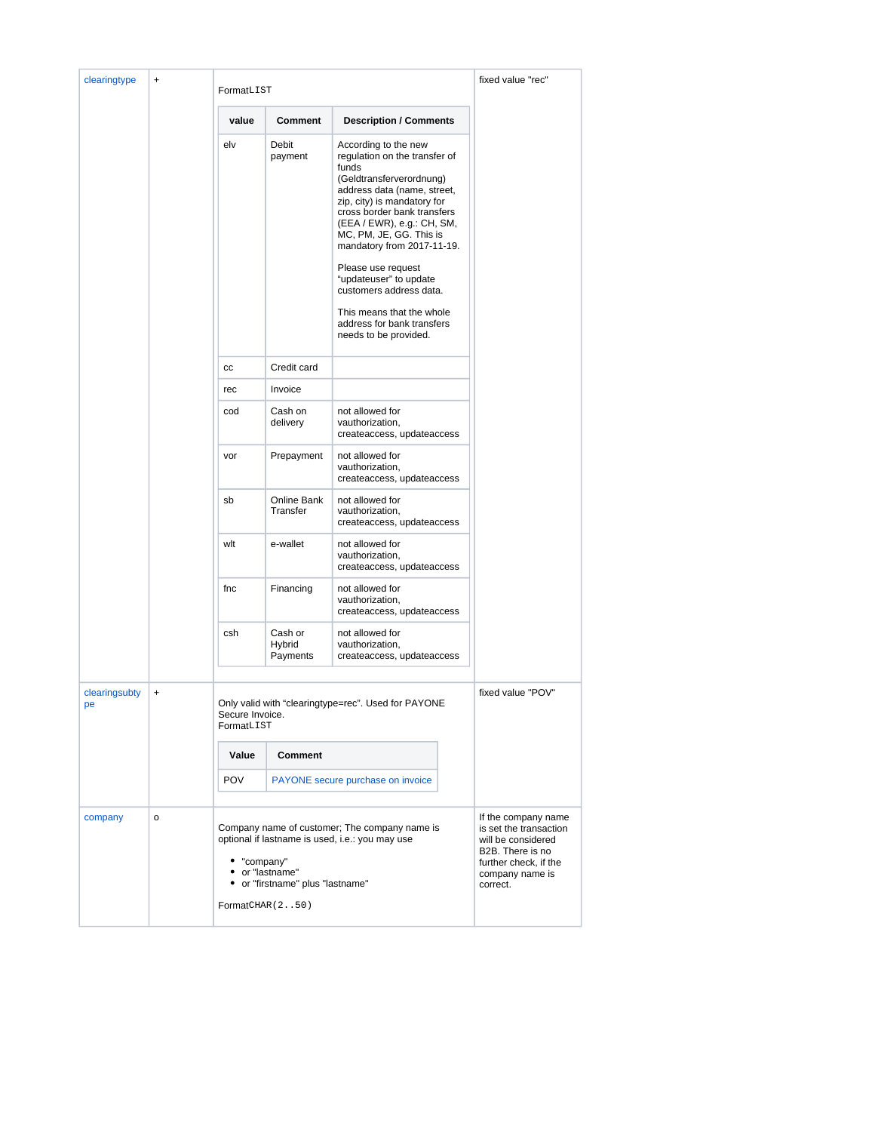| clearingtype<br>$\ddot{}$        | FormatLIST              |                                                                                                                                                                                            |                                                                                                                                                                                                                                                                                                                                                                                                                                               | fixed value "rec"                                                                                                                               |  |
|----------------------------------|-------------------------|--------------------------------------------------------------------------------------------------------------------------------------------------------------------------------------------|-----------------------------------------------------------------------------------------------------------------------------------------------------------------------------------------------------------------------------------------------------------------------------------------------------------------------------------------------------------------------------------------------------------------------------------------------|-------------------------------------------------------------------------------------------------------------------------------------------------|--|
|                                  |                         | value                                                                                                                                                                                      | Comment                                                                                                                                                                                                                                                                                                                                                                                                                                       | <b>Description / Comments</b>                                                                                                                   |  |
|                                  | elv                     | Debit<br>payment                                                                                                                                                                           | According to the new<br>regulation on the transfer of<br>funds<br>(Geldtransferverordnung)<br>address data (name, street,<br>zip, city) is mandatory for<br>cross border bank transfers<br>(EEA / EWR), e.g.: CH, SM,<br>MC, PM, JE, GG. This is<br>mandatory from 2017-11-19.<br>Please use request<br>"updateuser" to update<br>customers address data.<br>This means that the whole<br>address for bank transfers<br>needs to be provided. |                                                                                                                                                 |  |
|                                  | cc                      | Credit card                                                                                                                                                                                |                                                                                                                                                                                                                                                                                                                                                                                                                                               |                                                                                                                                                 |  |
|                                  |                         | rec                                                                                                                                                                                        | Invoice                                                                                                                                                                                                                                                                                                                                                                                                                                       |                                                                                                                                                 |  |
|                                  | cod                     | Cash on<br>delivery                                                                                                                                                                        | not allowed for<br>vauthorization,<br>createaccess, updateaccess                                                                                                                                                                                                                                                                                                                                                                              |                                                                                                                                                 |  |
|                                  |                         | vor                                                                                                                                                                                        | Prepayment                                                                                                                                                                                                                                                                                                                                                                                                                                    | not allowed for<br>vauthorization,<br>createaccess, updateaccess                                                                                |  |
|                                  |                         | sb                                                                                                                                                                                         | Online Bank<br>Transfer                                                                                                                                                                                                                                                                                                                                                                                                                       | not allowed for<br>vauthorization,<br>createaccess, updateaccess                                                                                |  |
|                                  |                         | wlt                                                                                                                                                                                        | e-wallet                                                                                                                                                                                                                                                                                                                                                                                                                                      | not allowed for<br>vauthorization,<br>createaccess, updateaccess                                                                                |  |
|                                  |                         | fnc                                                                                                                                                                                        | Financing                                                                                                                                                                                                                                                                                                                                                                                                                                     | not allowed for<br>vauthorization,<br>createaccess, updateaccess                                                                                |  |
|                                  |                         | csh                                                                                                                                                                                        | Cash or<br>Hybrid<br>Payments                                                                                                                                                                                                                                                                                                                                                                                                                 | not allowed for<br>vauthorization,<br>createaccess, updateaccess                                                                                |  |
| clearingsubty<br>$\ddot{}$<br>рe |                         | Only valid with "clearingtype=rec". Used for PAYONE<br>Secure Invoice.<br>FormatLIST                                                                                                       |                                                                                                                                                                                                                                                                                                                                                                                                                                               | fixed value "POV"                                                                                                                               |  |
|                                  | <b>Comment</b><br>Value |                                                                                                                                                                                            |                                                                                                                                                                                                                                                                                                                                                                                                                                               |                                                                                                                                                 |  |
|                                  |                         | <b>POV</b>                                                                                                                                                                                 |                                                                                                                                                                                                                                                                                                                                                                                                                                               | PAYONE secure purchase on invoice                                                                                                               |  |
| company                          | o                       | Company name of customer; The company name is<br>optional if lastname is used, i.e.: you may use<br>• "company"<br>• or "lastname"<br>• or "firstname" plus "lastname"<br>FormatCHAR (250) |                                                                                                                                                                                                                                                                                                                                                                                                                                               | If the company name<br>is set the transaction<br>will be considered<br>B2B. There is no<br>further check, if the<br>company name is<br>correct. |  |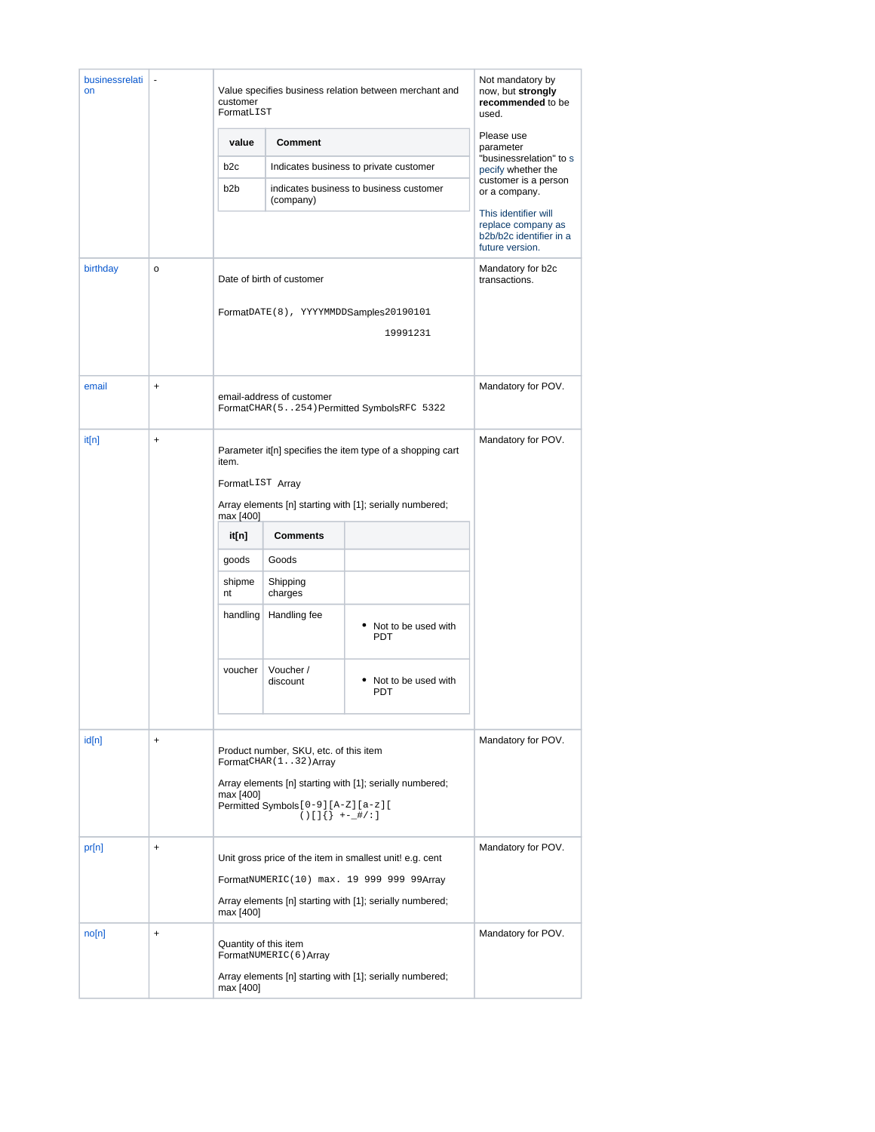| businessrelati<br>on |           | Value specifies business relation between merchant and<br>customer<br>FormatLIST                                                                                               |                       |                                         | Not mandatory by<br>now, but strongly<br>recommended to be<br>used.                      |  |
|----------------------|-----------|--------------------------------------------------------------------------------------------------------------------------------------------------------------------------------|-----------------------|-----------------------------------------|------------------------------------------------------------------------------------------|--|
|                      |           | Comment<br>value                                                                                                                                                               |                       |                                         | Please use<br>parameter                                                                  |  |
|                      |           | b2c                                                                                                                                                                            |                       | Indicates business to private customer  | "businessrelation" to s<br>pecify whether the<br>customer is a person<br>or a company.   |  |
|                      |           | b <sub>2</sub> b                                                                                                                                                               | (company)             | indicates business to business customer |                                                                                          |  |
|                      |           |                                                                                                                                                                                |                       |                                         | This identifier will<br>replace company as<br>b2b/b2c identifier in a<br>future version. |  |
| birthday             | $\circ$   | Date of birth of customer<br>FormatDATE(8), YYYYMMDDSamples20190101<br>19991231                                                                                                |                       |                                         | Mandatory for b2c<br>transactions.                                                       |  |
|                      |           |                                                                                                                                                                                |                       |                                         |                                                                                          |  |
| email                | $\ddot{}$ | email-address of customer<br>FormatCHAR (5254) Permitted SymbolsRFC 5322                                                                                                       |                       |                                         | Mandatory for POV.                                                                       |  |
| it[n]                | $\ddot{}$ | Parameter it <sup>[n]</sup> specifies the item type of a shopping cart<br>item.                                                                                                |                       |                                         | Mandatory for POV.                                                                       |  |
|                      |           | FormatLIST Array                                                                                                                                                               |                       |                                         |                                                                                          |  |
|                      |           | Array elements [n] starting with [1]; serially numbered;<br>max [400]                                                                                                          |                       |                                         |                                                                                          |  |
|                      |           | it[n]                                                                                                                                                                          | <b>Comments</b>       |                                         |                                                                                          |  |
|                      |           | goods                                                                                                                                                                          | Goods                 |                                         |                                                                                          |  |
|                      |           | shipme<br>nt                                                                                                                                                                   | Shipping<br>charges   |                                         |                                                                                          |  |
|                      |           | handling                                                                                                                                                                       | Handling fee          | • Not to be used with<br><b>PDT</b>     |                                                                                          |  |
|                      |           | voucher                                                                                                                                                                        | Voucher /<br>discount | Not to be used with<br><b>PDT</b>       |                                                                                          |  |
|                      |           |                                                                                                                                                                                |                       |                                         |                                                                                          |  |
| id[n]                | $\ddot{}$ | Product number, SKU, etc. of this item<br>FormatCHAR(132) Array                                                                                                                |                       | Mandatory for POV.                      |                                                                                          |  |
|                      |           | Array elements [n] starting with [1]; serially numbered;<br>max [400]<br>Permitted Symbols [0-9] [A-Z] [a-z] [<br>$() [] \}$ +-_#/:]                                           |                       |                                         |                                                                                          |  |
| pr[n]                | $\ddot{}$ | Unit gross price of the item in smallest unit! e.g. cent<br>FormatNUMERIC(10) max. 19 999 999 99Array<br>Array elements [n] starting with [1]; serially numbered;<br>max [400] |                       |                                         | Mandatory for POV.                                                                       |  |
|                      |           |                                                                                                                                                                                |                       |                                         |                                                                                          |  |
|                      |           |                                                                                                                                                                                |                       |                                         |                                                                                          |  |
| no[n]                | $\ddot{}$ | Quantity of this item<br>FormatNUMERIC(6) Array                                                                                                                                |                       | Mandatory for POV.                      |                                                                                          |  |
|                      |           | Array elements [n] starting with [1]; serially numbered;<br>max [400]                                                                                                          |                       |                                         |                                                                                          |  |